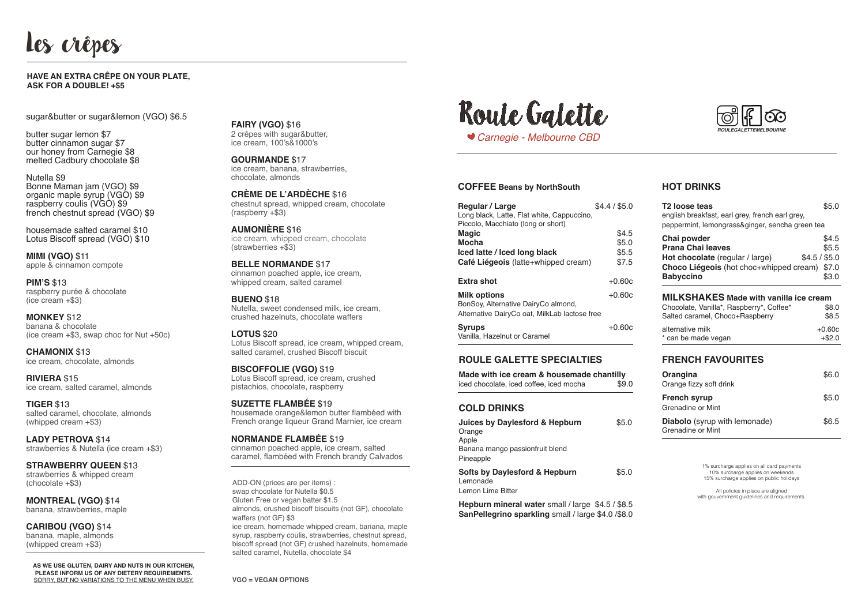# Les crêpes

**Fairy (VGO)** \$16 2 crêpes with sugar&butter, ice cream, 100's&1000's

**Gourmande** \$17 ice cream, banana, strawberries, chocolate, almonds

**Crème de l'Ardèche** \$16 chestnut spread, whipped cream, chocolate (raspberry +\$3)

**Aumonière** \$16 ice cream, whipped cream, chocolate (strawberries +\$3)

**Belle Normande** \$17 cinnamon poached apple, ice cream, whipped cream, salted caramel

**Bueno** \$18 Nutella, sweet condensed milk, ice cream, crushed hazelnuts, chocolate waffers

**Lotus** \$20 Lotus Biscoff spread, ice cream, whipped cream, salted caramel, crushed Biscoff biscuit

**Biscoffolie (VGO)** \$19 Lotus Biscoff spread, ice cream, crushed pistachios, chocolate, raspberry

**Suzette Flambée** \$19 housemade orange&lemon butter flambéed with French orange liqueur Grand Marnier, ice cream

**Normande Flambée** \$19 cinnamon poached apple, ice cream, salted caramel, flambéed with French brandy Calvados

sugar&butter or sugar&lemon (VGO) \$6.5

butter sugar lemon \$7 butter cinnamon sugar \$7 our honey from Carnegie \$8 melted Cadbury chocolate \$8

Nutella \$9 Bonne Maman jam (VGO) \$9 organic maple syrup (VGO) \$9 raspberry coulis (VGO) \$9 french chestnut spread (VGO) \$9

housemade salted caramel \$10 Lotus Biscoff spread (VGO) \$10

**Mimi (VGO)** \$11 apple & cinnamon compote

**Pim's** \$13 raspberry purée & chocolate (ice cream +\$3)

**Monkey** \$12 banana & chocolate (ice cream +\$3, swap choc for Nut +50c)

**Chamonix** \$13 ice cream, chocolate, almonds

**Riviera** \$15 ice cream, salted caramel, almonds

**Tiger** \$13 salted caramel, chocolate, almonds (whipped cream +\$3)

> All policies in place are aligned with gouvernment guidelines and requirements

**Lady Petrova** \$14 strawberries & Nutella (ice cream +\$3)

**Strawberry Queen** \$13 strawberries & whipped cream (chocolate +\$3)

**Montreal (VGO)** \$14 banana, strawberries, maple

**Caribou (VGO)** \$14 banana, maple, almonds (whipped cream +\$3)

### **Have an extra crêpe on your plate, ask for a double! +\$5**

**vgo = vegan options**

ADD-ON (prices are per items) : swap chocolate for Nutella \$0.5 Gluten Free or vegan batter \$1.5 almonds, crushed biscoff biscuits (not GF), chocolate waffers (not GF) \$3 ice cream, homemade whipped cream, banana, maple syrup, raspberry coulis, strawberries, chestnut spread, biscoff spread (not GF) crushed hazelnuts, homemade

salted caramel, Nutella, chocolate \$4

**As we use gluten, dairy and nuts in our kitchen, please inform us of any dietery requirements.** sorry, but no variations to the menu when busy.





## **Coffee Beans by NorthSouth**

| <b>Regular / Large</b><br>Long black, Latte, Flat white, Cappuccino,<br>Piccolo, Macchiato (long or short) | \$4.4 / \$5.0 |
|------------------------------------------------------------------------------------------------------------|---------------|
| <b>Magic</b>                                                                                               | \$4.5         |
| Mocha                                                                                                      | \$5.0         |
| lced latte / lced long black                                                                               | \$5.5         |
| Café Liégeois (latte+whipped cream)                                                                        | \$7.5         |
| <b>Extra shot</b>                                                                                          | $+0.60c$      |
|                                                                                                            |               |
| <b>Milk options</b>                                                                                        | $+0.60c$      |
| BonSoy, Alternative DairyCo almond,                                                                        |               |
| Alternative DairyCo oat, MilkLab lactose free                                                              |               |
| <b>Syrups</b><br>Vanilla, Hazelnut or Caramel                                                              | $+0.60c$      |

# **Roule Galette Specialties**

**Made with ice cream & housemade chantilly** iced chocolate, iced coffee, iced mocha \$9.0

> 1% surcharge applies on all card payments 10% surcharge applies on weekends 15% surcharge applies on public holidays

# **hot drinks**

| T2 loose teas<br>english breakfast, earl grey, french earl grey,            | \$5.0          |
|-----------------------------------------------------------------------------|----------------|
| peppermint, lemongrass&ginger, sencha green tea                             |                |
| Chai powder<br><b>Prana Chai leaves</b>                                     | \$4.5<br>\$5.5 |
| $$4.5/$ \$5.0<br>Hot chocolate (regular / large)                            |                |
| Choco Liégeois (hot choc+whipped cream) \$7.0                               |                |
| <b>Babyccino</b>                                                            | \$3.0          |
| <b>MILKSHAKES Made with vanilla ice cream</b>                               |                |
| Chocolate, Vanilla*, Raspberry*, Coffee*<br>Salted caramel, Choco+Raspberry | \$8.0<br>\$8.5 |
| alternative milk                                                            | $+0.60c$       |
| * can be made vegan                                                         | $+ $2.0$       |
| <b>FRENCH FAVOURITES</b>                                                    |                |
| Orangina<br>Orange fizzy soft drink                                         | \$6.0          |
|                                                                             |                |
| <b>French syrup</b><br>Grenadine or Mint                                    | \$5.0          |
|                                                                             |                |

## **Cold drinks**

| Juices by Daylesford & Hepburn                                  | \$5.0 |
|-----------------------------------------------------------------|-------|
| Orange<br>Apple<br>Banana mango passionfruit blend<br>Pineapple |       |
| <b>Softs by Daylesford &amp; Hepburn</b><br>Lemonade            | \$5.0 |

Lemon Lime Bitter

**Hepburn mineral water** small / large\$4.5 / \$8.5 **SanPellegrino sparkling** small / large \$4.0 /\$8.0

**Diabolo** (syrup with lemonade)\$6.5 Grenadine or Mint